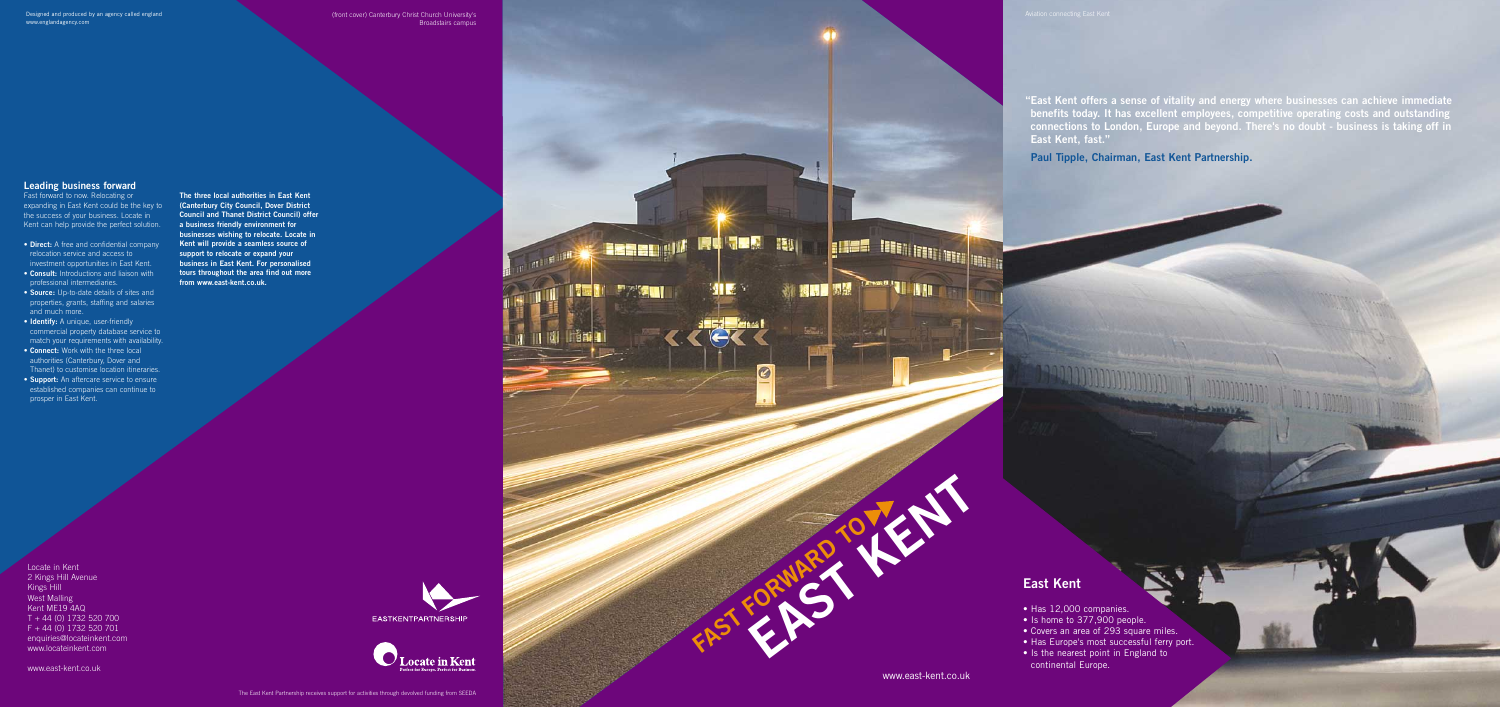Designed and produced by an agency called england **Aviation Christ Church University's** (front cover) Canterbury Christ Church University's Aviation connecting East Kent **The Second Property of the Second Property Construction Property Property Property** 组图 **Fight FAST FORWARD TO**

**EAST KENT**

**FILES HERRITAN DE LA PORT** 

**The Party of Branch** 

◎ 膠弱層 関盟

 $\bullet$ 

**"East Kent offers a sense of vitality and energy where businesses can achieve immediate benefits today. It has excellent employees, competitive operating costs and outstanding connections to London, Europe and beyond. There's no doubt - business is taking off in East Kent, fast."** 

99999

**Paul Tipple, Chairman, East Kent Partnership.**

## **Leading business forward**

Fast forward to now. Relocating or expanding in East Kent could be the key to the success of your business. Locate in Kent can help provide the perfect solution.

- **Direct:** A free and confidential company relocation service and access to investment opportunities in East Kent.
- **Consult:** Introductions and liaison with professional intermediaries.
- **Source:** Up-to-date details of sites and properties, grants, staffing and salaries and much more.
- **Identify:** A unique, user-friendly commercial property database service to match your requirements with availability.
- **Connect:** Work with the three local authorities (Canterbury, Dover and Thanet) to customise location itineraries.
- **Support:** An aftercare service to ensure established companies can continue to prosper in East Kent.

Locate in Kent 2 Kings Hill Avenue Kings Hill West Malling Kent ME19 4AQ T + 44 (0) 1732 520 700 F + 44 (0) 1732 520 701 enquiries@locateinkent.com www.locateinkent.com

www.east-kent.co.uk

**The three local authorities in East Kent (Canterbury City Council, Dover District Council and Thanet District Council) offer a business friendly environment for businesses wishing to relocate. Locate in Kent will provide a seamless source of support to relocate or expand your business in East Kent. For personalised tours throughout the area find out more from www.east-kent.co.uk.**





## **East Kent**

- Has 12,000 companies.
- Is home to 377,900 people.
- Covers an area of 293 square miles.
- Has Europe's most successful ferry port.
- Is the nearest point in England to continental Europe.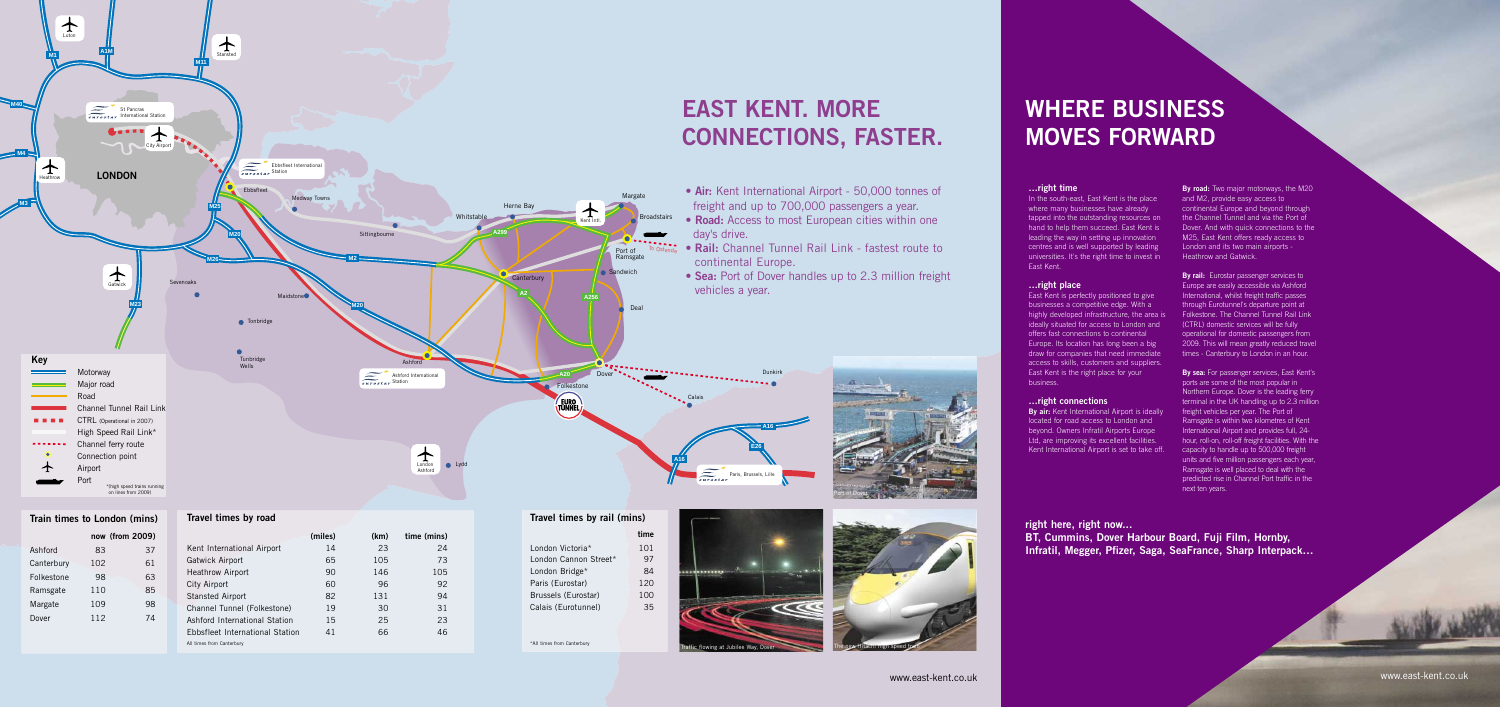**East Kent is perfectly positioned to give** businesses a competitive edge. With a highly developed infrastructure, the area is ideally situated for access to London and offers fast connections to continental Europe. Its location has long been a big draw for companies that need immediate access to skills, customers and suppliers. East Kent is the right place for your business.

**By air:** Kent International Airport is ideally located for road access to London and beyond. Owners Infratil Airports Europe Ltd, are improving its excellent facilities. Kent International Airport is set to take off.

# **CONNECTIONS, FASTER.**

• **Air:** Kent International Airport - 50,000 tonnes of freight and up to 700,000 passengers a year. • **Road:** Access to most European cities within one

• **Rail:** Channel Tunnel Rail Link - fastest route to

**By rail:** Eurostar passenger services to Europe are easily accessible via Ashford International, whilst freight traffic passes through Eurotunnel's departure point at Folkestone. The Channel Tunnel Rail Link (CTRL) domestic services will be fully operational for domestic passengers from 2009. This will mean greatly reduced travel times - Canterbury to London in an hour.

• **Sea:** Port of Dover handles up to 2.3 million freight

## **…right time**

In the south-east, East Kent is the place where many businesses have already tapped into the outstanding resources on hand to help them succeed. East Kent is leading the way in setting up innovation centres and is well supported by leading universities. It's the right time to invest in East Kent.

## **…right place**



## **…right connections**

**By road:** Two major motorways, the M20 and M2, provide easy access to continental Europe and beyond through the Channel Tunnel and via the Port of Dover. And with quick connections to the M25, East Kent offers ready access to London and its two main airports - Heathrow and Gatwick.

**By sea:** For passenger services, East Kent's ports are some of the most popular in Northern Europe. Dover is the leading ferry terminal in the UK handling up to 2.3 million freight vehicles per year. The Port of Ramsgate is within two kilometres of Kent International Airport and provides full, 24 hour, roll-on, roll-off freight facilities. With the capacity to handle up to 500,000 freight units and five million passengers each year, Ramsgate is well placed to deal with the predicted rise in Channel Port traffic in the next ten years.

## **WHERE BUSINESS MOVES FORWARD**





**right here, right now... BT, Cummins, Dover Harbour Board, Fuji Film, Hornby, Infratil, Megger, Pfizer, Saga, SeaFrance, Sharp Interpack…**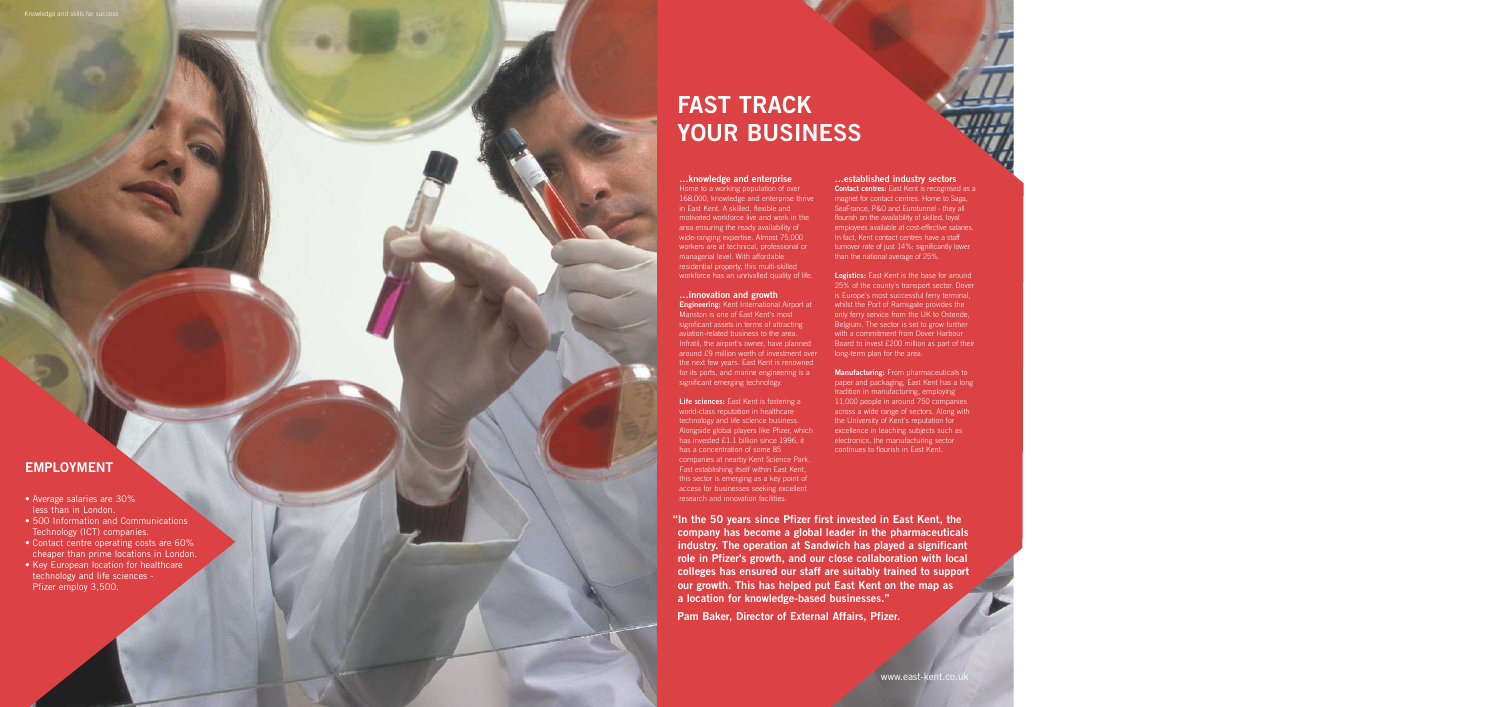## **…knowledge and enterprise**

Home to a working population of over 168,000, knowledge and enterprise thrive in East Kent. A skilled, flexible and motivated workforce live and work in the area ensuring the ready availability of wide-ranging expertise. Almost 75,000 workers are at technical, professional or managerial level. With affordable residential property, this multi-skilled workforce has an unrivalled quality of life.

# **…innovation and growth**

**Engineering:** Kent International Airport at Manston is one of East Kent's most significant assets in terms of attracting aviation-related business to the area. Infratil, the airport's owner, have planned around £9 million worth of investment over the next few years. East Kent is renowned for its ports, and marine engineering is a significant emerging technology.

**Life sciences:** East Kent is fostering a world-class reputation in healthcare technology and life science business. Alongside global players like Pfizer, which has invested £1.1 billion since 1996, it has a concentration of some 85 companies at nearby Kent Science Park. Fast establishing itself within East Kent, this sector is emerging as a key point of access for businesses seeking excellent research and innovation facilities.

### **…established industry sectors**

**Contact centres:** East Kent is recognised as a magnet for contact centres. Home to Saga, SeaFrance, P&O and Eurotunnel - they all flourish on the availability of skilled, loyal employees available at cost-effective salaries. In fact, Kent contact centres have a staff turnover rate of just 14%; significantly lower than the national average of 25%.

**Logistics:** East Kent is the base for around 25% of the county's transport sector. Dover is Europe's most successful ferry terminal, whilst the Port of Ramsgate provides the only ferry service from the UK to Ostende, Belgium. The sector is set to grow further with a commitment from Dover Harbour Board to invest £200 million as part of their long-term plan for the area.

**Manufacturing:** From pharmaceuticals to paper and packaging, East Kent has a long tradition in manufacturing, employing 11,000 people in around 750 companies across a wide range of sectors. Along with the University of Kent's reputation for excellence in teaching subjects such as electronics, the manufacturing sector continues to flourish in East Kent.

## Knowledge and skills for succes

## **EMPLOYMENT**

- Average salaries are 30% less than in London.
- 500 Information and Communications Technology (ICT) companies.
- Contact centre operating costs are 60% cheaper than prime locations in London.
- Key European location for healthcare technology and life sciences - Pfizer employ 3,500.

## **FAST TRACK YOUR BUSINESS**

**"In the 50 years since Pfizer first invested in East Kent, the company has become a global leader in the pharmaceuticals industry. The operation at Sandwich has played a significant role in Pfizer's growth, and our close collaboration with local colleges has ensured our staff are suitably trained to support our growth. This has helped put East Kent on the map as a location for knowledge-based businesses. " Pam Baker, Director of External Affairs, Pfizer.**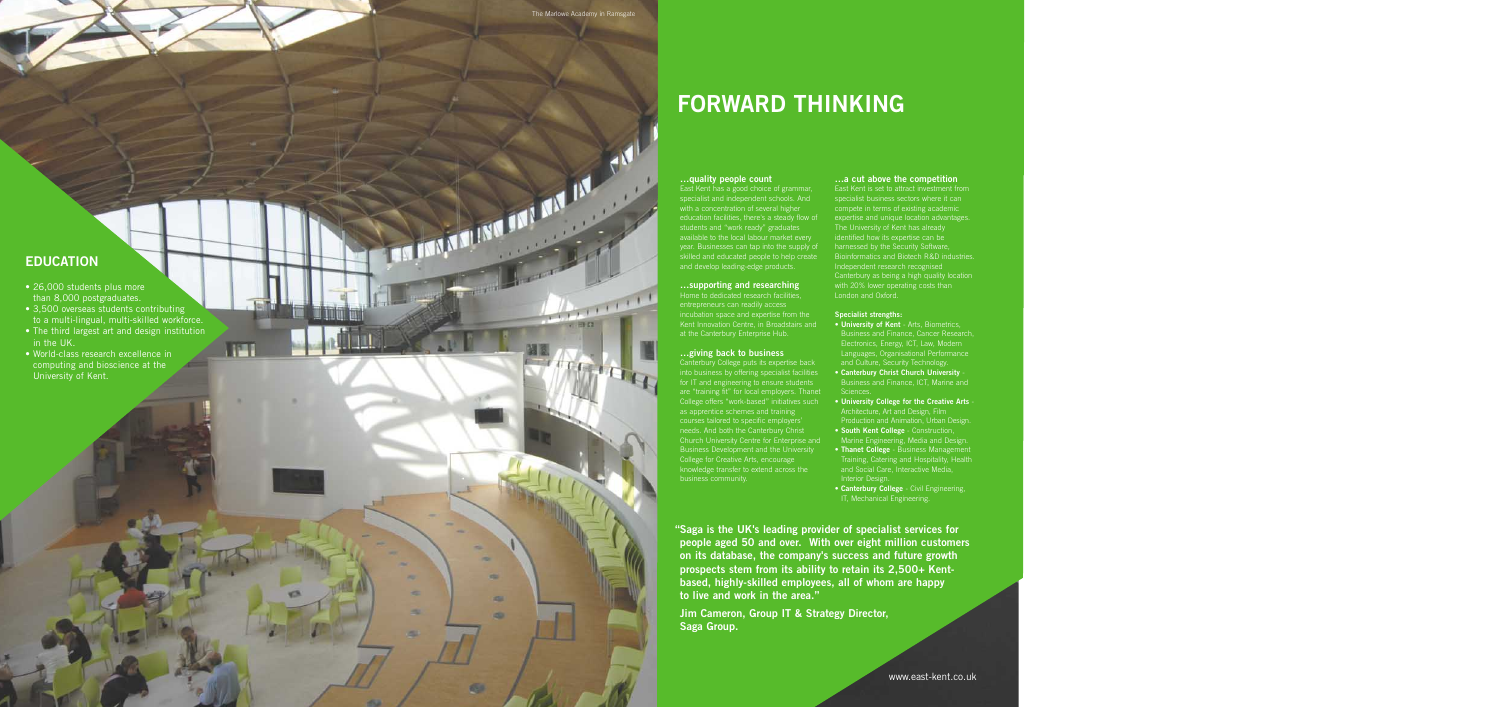## **EDUCATION**

- 26,000 students plus more than 8,000 postgraduates.
- 3,500 overseas students contributing to a multi-lingual, multi-skilled workforce.
- The third largest art and design institution in the UK.

相

a.

æ

• World-class research excellence in computing and bioscience at the University of Kent.

## **FORWARD THINKING**

with a concentration of several<br>students as a good choice specialist and independent sc<br>suddents a several students and independent sc<br>students are students and independent sc<br>students are:<br>students are: East Kent has a good choice of grammar, specialist and independent schools. And with a concentration of several higher education facilities, there's a steady flow of students and "work ready" graduates available to the local labour market every year. Businesses can tap into the supply of skilled and educated people to help create and develop leading-edge products.

## **…supporting and researching** Home to dedicated research facilities,

entrepreneurs can readily access incubation space and expertise from the Kent Innovation Centre, in Broadstairs and at the Canterbury Enterprise Hub.

## **…giving back to business**

- **University of Kent** Arts, Biometrics, Business and Finance, Cancer Research, Electronics, Energy, ICT, Law, Modern Languages, Organisational Performance and Culture, Security Technology.
- **Canterbury Christ Church University** Business and Finance, ICT, Marine and
- **University College for the Creative Arts** Architecture, Art and Design, Film Production and Animation, Urban Design.
- **South Kent College** Construction,
- Marine Engineering, Media and Design.
- **Thanet College** Business Management Training, Catering and Hospitality, Health and Social Care, Interactive Media, Interior Design.
- **Canterbury College** Civil Engineering, IT, Mechanical Engineering.

Canterbury College puts its expertise back into business by offering specialist facilities for IT and engineering to ensure students are "training fit" for local employers. Thanet College offers "work-based" initiatives such as apprentice schemes and training courses tailored to specific employers' needs. And both the Canterbury Christ Church University Centre for Enterprise and Business Development and the University College for Creative Arts, encourage knowledge transfer to extend across the business community.

## **…a cut above the competition**

specialist business sectors where it can compete in terms of existing academic expertise and unique location advantages. The University of Kent has already identified how its expertise can be harnessed by the Security Software, Bioinformatics and Biotech R&D industries. Independent research recognised Canterbury as being a high quality location with 20% lower operating costs than London and Oxford.

## **Specialist strengths:**

**"Saga is the UK's leading provider of specialist services for people aged 50 and over. With over eight million customers on its database, the company's success and future growth prospects stem from its ability to retain its 2,500+ Kentbased, highly-skilled employees, all of whom are happy to live and work in the area."**

**Jim Cameron, Group IT & Strategy Director,** 

**Saga Group.** 

 $\sum_{i=1}^n \frac{1}{i!} \frac{1}{i!} \frac{1}{i!}$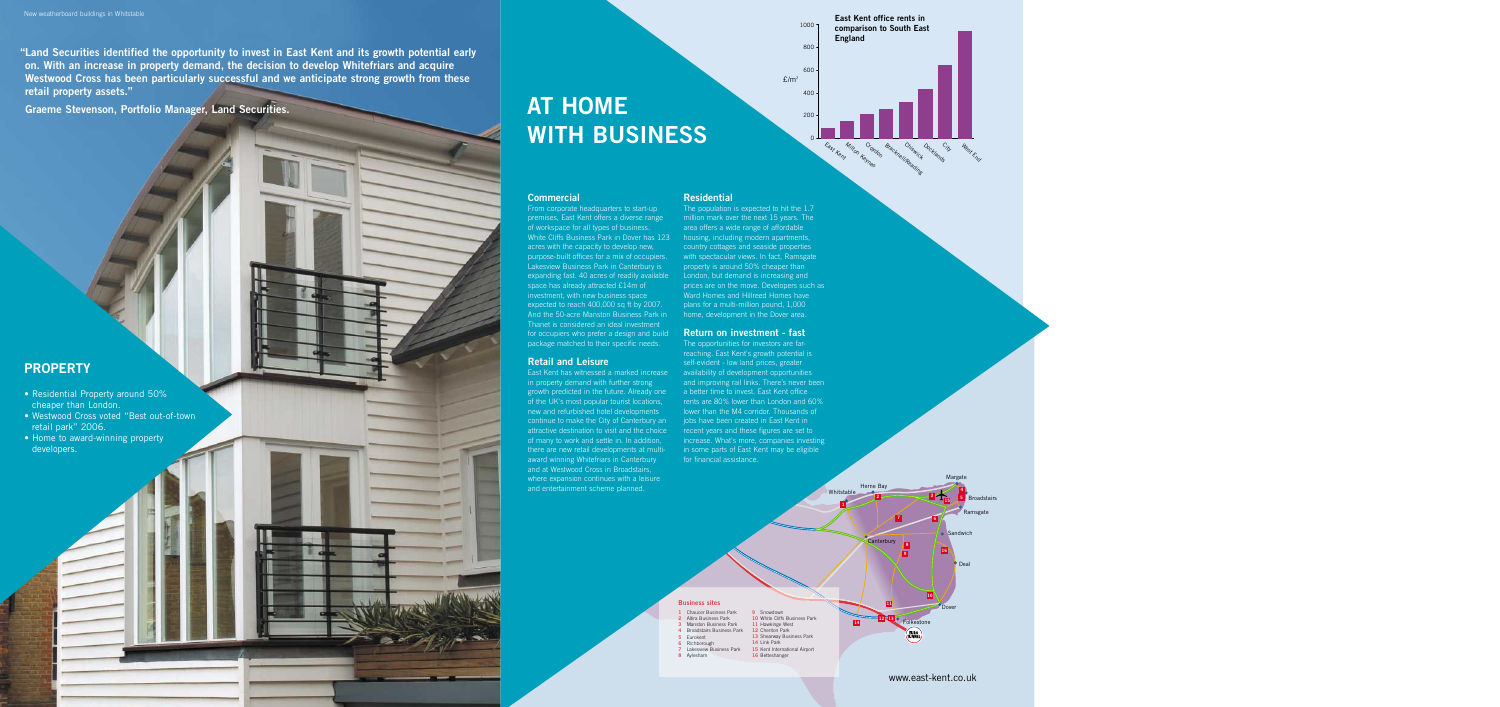### **Commercial**

From corporate headquarters to start-up premises, East Kent offers a diverse range of workspace for all types of business. White Cliffs Business Park in Dover has 123 acres with the capacity to develop new, purpose-built offices for a mix of occupiers. Lakesview Business Park in Canterbury is expanding fast. 40 acres of readily available space has already attracted £14m of investment, with new business space expected to reach 400,000 sq ft by 2007. And the 50-acre Manston Business Park in Thanet is considered an ideal investment for occupiers who prefer a design and build package matched to their specific needs.

### **Retail and Leisure**

East Kent has witnessed a marked increase in property demand with further strong growth predicted in the future. Already one of the UK's most popular tourist locations, new and refurbished hotel developments continue to make the City of Canterbury an attractive destination to visit and the choice of many to work and settle in. In addition, there are new retail developments at multiaward winning Whitefriars in Canterbury and at Westwood Cross in Broadstairs, where expansion continues with a leisure and entertainment scheme planned.

### **Residential**

The population is expected to hit the 1.7 million mark over the next 15 years. The area offers a wide range of affordable housing, including modern apartments, country cottages and seaside properties with spectacular views. In fact, Ramsgate property is around 50% cheaper than London, but demand is increasing and prices are on the move. Developers such as Ward Homes and Hillreed Homes have plans for a multi-million pound, 1,000 home, development in the Dover area.



## **Return on investment - fast**

The opportunities for investors are farreaching. East Kent's growth potential is self-evident - low land prices, greater availability of development opportunities and improving rail links. There's never been a better time to invest. East Kent office rents are 80% lower than London and 60% lower than the M4 corridor. Thousands of jobs have been created in East Kent in recent years and these figures are set to increase. What's more, companies investing in some parts of East Kent may be eligible for financial assistance.

## **AT HOME WITH BUSINESS**

**"Land Securities identified the opportunity to invest in East Kent and its growth potential early on. With an increase in property demand, the decision to develop Whitefriars and acquire Westwood Cross has been particularly successful and we anticipate strong growth from these retail property assets."**

**Graeme Stevenson, Portfolio Manager, Land Securities.**

## **PROPERTY**

- Residential Property around 50% cheaper than London.
- Westwood Cross voted "Best out-of-town retail park" 2006.
- Home to award-winning property developers.



## www.east-kent.co.uk

## **Business sites**

- **1** Chaucer Business Park **2** Altira Business Park **3** Manston Business Park
- **4** Broadstairs Business Park **5** Eurokent
- **6** Richborough
- **7** Lakesview Business Park **8** Aylesham